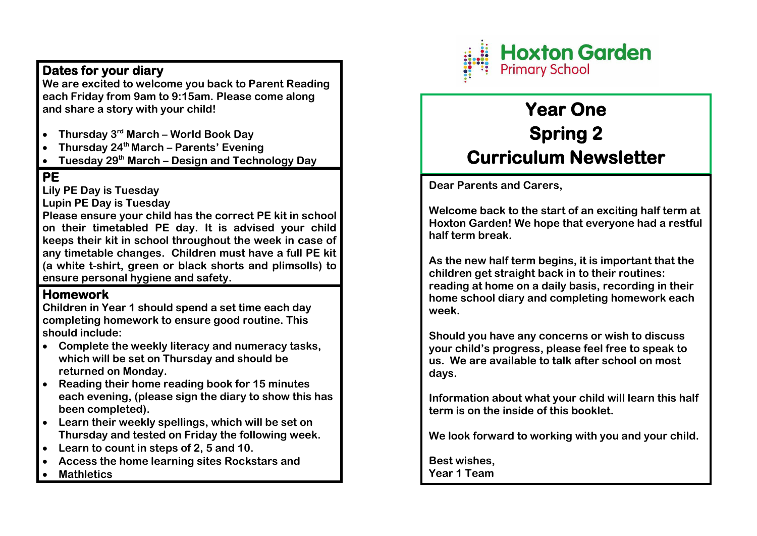## **Dates for your diary**

**We are excited to welcome you back to Parent Reading each Friday from 9am to 9:15am. Please come along and share a story with your child!** 

- **Thursday 3rd March – World Book Day**
- **Thursday 24th March – Parents' Evening**
- **Tuesday 29th March – Design and Technology Day**

## **PE**

**Lily PE Day is Tuesday** 

**Lupin PE Day is Tuesday** 

**Please ensure your child has the correct PE kit in school on their timetabled PE day. It is advised your child keeps their kit in school throughout the week in case of any timetable changes. Children must have a full PE kit (a white t-shirt, green or black shorts and plimsolls) to ensure personal hygiene and safety.** 

## **Homework**

**Children in Year 1 should spend a set time each day completing homework to ensure good routine. This should include:** 

- **Complete the weekly literacy and numeracy tasks, which will be set on Thursday and should be returned on Monday.**
- **Reading their home reading book for 15 minutes each evening, (please sign the diary to show this has been completed).**
- **Learn their weekly spellings, which will be set on Thursday and tested on Friday the following week.**
- **Learn to count in steps of 2, 5 and 10.**
- **Access the home learning sites Rockstars and**
- **Mathletics**



# **Year One Spring 2 Curriculum Newsletter**

**Dear Parents and Carers,** 

**Welcome back to the start of an exciting half term at Hoxton Garden! We hope that everyone had a restful half term break.** 

**As the new half term begins, it is important that the children get straight back in to their routines: reading at home on a daily basis, recording in their home school diary and completing homework each week.** 

**Should you have any concerns or wish to discuss your child's progress, please feel free to speak to us. We are available to talk after school on most days.** 

**Information about what your child will learn this half term is on the inside of this booklet.** 

**We look forward to working with you and your child.** 

**Best wishes, Year 1 Team**